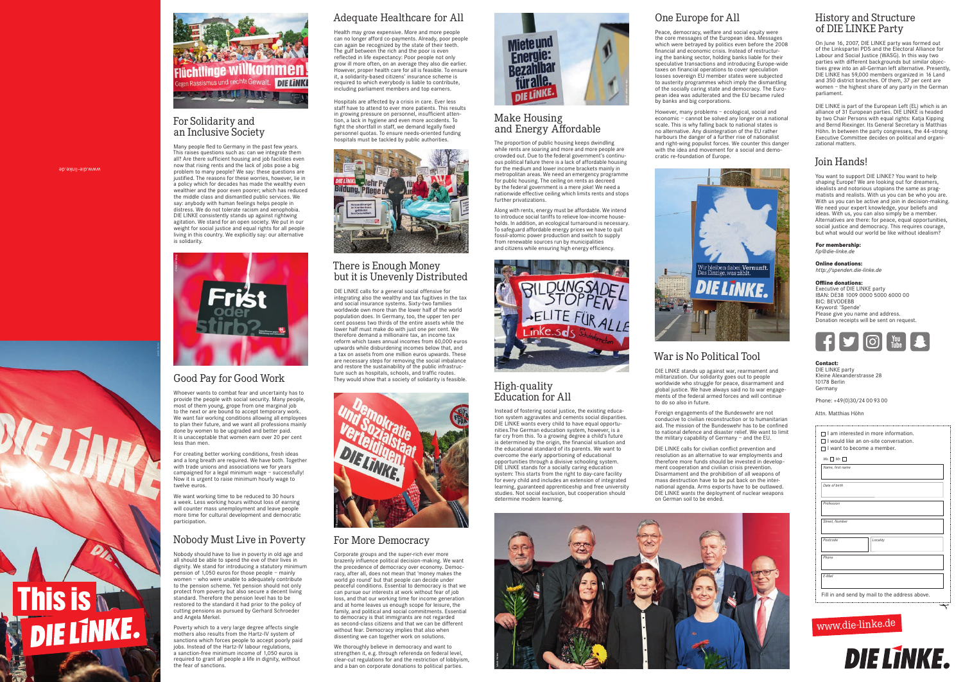www.die-linke.de

**This is Media** 

## www.die-linke.de



## Make Housing and Energy Affordable

The proportion of public housing keeps dwindling while rents are soaring and more and more people are crowded out. Due to the federal government's continuous political failure there is a lack of affordable housing for the medium and lower income brackets mainly in metropolitan areas. We need an emergency programme for public housing. The ceiling on rents as decreed by the federal government is a mere joke! We need a nationwide effective ceiling which limits rents and stops further privatizations.

Along with rents, energy must be affordable. We intend to introduce social tariffs to relieve low-income households. In addition, an ecological turnaround is necessary. To safeguard affordable energy prices we have to quit fossil-atomic power production and switch to supply from renewable sources run by municipalities and citizens while ensuring high energy efficiency.

Many people fled to Germany in the past few years. This raises questions such as: can we integrate them all? Are there sufficient housing and job facilities even now that rising rents and the lack of jobs pose a big problem to many people? We say: these questions are justified. The reasons for these worries, however, lie in a policy which for decades has made the wealthy even wealthier and the poor even poorer; which has reduced the middle class and dismantled public services. We say: anybody with human feelings helps people in distress. We do not tolerate racism and xenophobia. DIE LINKE consistently stands up against rightwing agitation. We stand for an open society. We put in our weight for social justice and equal rights for all people living in this country. We explicitly say: our alternative is solidarity. de States and Christian Manageman Neugebauer is a state of the States and Assemblation and Assemblation and Assemblation and Assemblation and Assemblation and Assemblation and Assemblation and Assemblation and Assemblation



#### High-quality Education for All

Instead of fostering social justice, the existing education system aggravates and cements social disparities. DIE LINKE wants every child to have equal opportunities.The German education system, however, is a far cry from this. To a growing degree a child's future is determined by the origin, the financial situation and the educational standard of its parents. We want to overcome the early apportioning of educational opportunities through a divisive schooling system. DIE LINKE stands for a socially caring education system: This starts from the right to day-care facility for every child and includes an extension of integrated learning, guaranteed apprenticeship and free university studies. Not social exclusion, but cooperation should determine modern learning.



#### For Solidarity and an Inclusive Society

## Good Pay for Good Work

Whoever wants to combat fear and uncertainty has to provide the people with social security. Many people, most of them young, grope from one marginal job to the next or are bound to accept temporary work. We want fair working conditions allowing all employees to plan their future, and we want all professions mainly done by women to be upgraded and better paid. It is unacceptable that women earn over 20 per cent less than men.

For creating better working conditions, fresh ideas and a long breath are required. We have both. Together with trade unions and associations we for years campaigned for a legal minimum wage – successfully! Now it is urgent to raise minimum hourly wage to twelve euros.

We want working time to be reduced to 30 hours a week. Less working hours without loss of earning will counter mass unemployment and leave people more time for cultural development and democratic participation.

## Nobody Must Live in Poverty

Nobody should have to live in poverty in old age and all should be able to spend the eve of their lives in dignity. We stand for introducing a statutory minimum pension of 1,050 euros for those people – mainly women – who were unable to adequately contribute to the pension scheme. Yet pension should not only protect from poverty but also secure a decent living standard. Therefore the pension level has to be restored to the standard it had prior to the policy of cutting pensions as pursued by Gerhard Schroeder and Angela Merkel.

Poverty which to a very large degree affects single mothers also results from the Hartz-IV system of sanctions which forces people to accept poorly paid jobs. Instead of the Hartz-IV labour regulations, a sanction-free minimum income of 1,050 euros is required to grant all people a life in dignity, without the fear of sanctions.

# Adequate Healthcare for All

Health may grow expensive. More and more people can no longer afford co-payments. Already, poor people can again be recognized by the state of their teeth. The gulf between the rich and the poor is even reflected in life expectancy: Poor people not only grow ill more often, on an average they also die earlier. However, proper health care for all is feasible. To ensure it, a solidarity-based citizens' insurance scheme is required to which everybody is liable to contribute, including parliament members and top earners.

Hospitals are affected by a crisis in care. Ever less staff have to attend to ever more patients. This results in growing pressure on personnel, insufficient attention, a lack in hygiene and even more accidents. To fight the shortfall in staff, we demand legally fixed personnel quotas. To ensure needs-oriented funding hospitals must be tackled by public authorities.

#### There is Enough Money but it is Unevenly Distributed

DIE LINKE calls for a general social offensive for integrating also the wealthy and tax fugitives in the tax and social insurance systems. Sixty-two families worldwide own more than the lower half of the world population does. In Germany, too, the upper ten per cent possess two thirds of the entire assets while the lower half must make do with just one per cent. We therefore demand a millionaire tax, an income tax reform which taxes annual incomes from 60,000 euros upwards while disburdening incomes below that, and a tax on assets from one million euros upwards. These are necessary steps for removing the social imbalance and restore the sustainability of the public infrastructure such as hospitals, schools, and traffic routes. They would show that a society of solidarity is feasible.

## For More Democracy

Corporate groups and the super-rich ever more brazenly influence political decision-making. We want the precedence of democracy over economy. Democracy, after all, does not mean that 'money makes the world go round' but that people can decide under peaceful conditions. Essential to democracy is that we can pursue our interests at work without fear of job loss, and that our working time for income generation and at home leaves us enough scope for leisure, the family, and political and social commitments. Essential to democracy is that immigrants are not regarded as second-class citizens and that we can be different without fear. Democracy implies that also when dissenting we can together work on solutions.

We thoroughly believe in democracy and want to strengthen it, e.g. through referenda on federal level, clear-cut regulations for and the restriction of lobbyism, and a ban on corporate donations to political parties.

## One Europe for All

Peace, democracy, welfare and social equity were the core messages of the European idea. Messages which were betrayed by politics even before the 2008 financial and economic crisis. Instead of restructuring the banking sector, holding banks liable for their speculative transactions and introducing Europe-wide taxes on financial operations to cover speculation losses sovereign EU member states were subjected to austerity programmes which imply the dismantling of the socially caring state and democracy. The European idea was adulterated and the EU became ruled by banks and big corporations.

However, many problems – ecological, social and economic – cannot be solved any longer on a national scale. This is why falling back to national states is no alternative. Any disintegration of the EU rather harbours the danger of a further rise of nationalist and right-wing populist forces. We counter this danger with the idea and movement for a social and democratic re-foundation of Europe.



## War is No Political Tool

DIE LINKE stands up against war, rearmament and militarization. Our solidarity goes out to people worldwide who struggle for peace, disarmament and global justice. We have always said no to war engagements of the federal armed forces and will continue to do so also in future.

Foreign engagements of the Bundeswehr are not conducive to civilian reconstruction or to humanitarian aid. The mission of the Bundeswehr has to be confined to national defence and disaster relief. We want to limit the military capability of Germany – and the EU.

DIE LINKE calls for civilian conflict prevention and resolution as an alternative to war employments and therefore more funds should be invested in development cooperation and civilian crisis prevention. Disarmament and the prohibition of all weapons of mass destruction have to be put back on the international agenda. Arms exports have to be outlawed. DIE LINKE wants the deployment of nuclear weapons on German soil to be ended.

## History and Structure of DIE LINKE Party

On June 16, 2007, DIE LINKE party was formed out of the Linkspartei PDS and the Electoral Alliance for Labour and Social Justice (WASG). In this way two parties with different backgrounds but similar objectives grew into an all-German left alternative. Presently, DIE LINKE has 59,000 members organized in 16 Land and 350 district branches. Of them, 37 per cent are women – the highest share of any party in the German parliament.

DIE LINKE is part of the European Left (EL) which is an alliance of 31 European parties. DIE LINKE is headed by two Chair Persons with equal rights: Katia Kipping and Bernd Riexinger. Its General Secretary is Matthias Höhn. In between the party congresses, the 44-strong Executive Committee decides on political and organizational matters.

## Join Hands!

You want to support DIE LINKE? You want to help shaping Europe? We are looking out for dreamers, idealists and notorious utopians the same as pragmatists and realists. With us you can be who you are. With us you can be active and join in decision-making. We need your expert knowledge, your beliefs and ideas. With us, you can also simply be a member. Alternatives are there: for peace, equal opportunities, social justice and democracy. This requires courage, but what would our world be like without idealism?

**For membership:**

*fip@die-linke.de*

**Online donations:** *http://spenden.die-linke.de*

#### **Offline donations:**

Executive of DIE LINKE party IBAN: DE38 1009 0000 5000 6000 00 BIC: BEVODEBB Keyword: 'Spende' Please give you name and address. Donation receipts will be sent on request.



**Contact:**  DIE LINKE party Kleine Alexanderstrasse 28 10178 Berlin Germany

Phone: +49(0)30/24 00 93 00

Attn. Matthias Höhn

- $\Box$  I am interested in more information.
- $\Box$  I would like an on-site conversation.
- I want to become a member.









Jakob Huber

| Name, first name |                                                |
|------------------|------------------------------------------------|
| Date of birth    |                                                |
| Profession       |                                                |
| Street, Number   |                                                |
| Postcode         | Locality                                       |
| Phone            |                                                |
| E-Mail           |                                                |
|                  | Fill in and send by mail to the address above. |

| Ms. $\Box$ Mr. $\Box$ |  |
|-----------------------|--|
| Name, first name      |  |